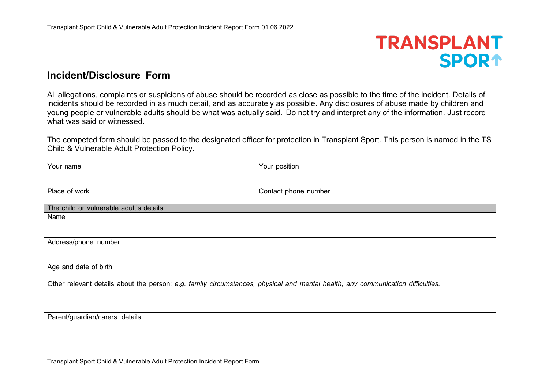## **TRANSPLANT SPOR1**

## **Incident/Disclosure Form**

All allegations, complaints or suspicions of abuse should be recorded as close as possible to the time of the incident. Details of incidents should be recorded in as much detail, and as accurately as possible. Any disclosures of abuse made by children and young people or vulnerable adults should be what was actually said. Do not try and interpret any of the information. Just record what was said or witnessed.

The competed form should be passed to the designated officer for protection in Transplant Sport. This person is named in the TS Child & Vulnerable Adult Protection Policy.

| Your name                                                                                                                       | Your position        |
|---------------------------------------------------------------------------------------------------------------------------------|----------------------|
|                                                                                                                                 |                      |
| Place of work                                                                                                                   | Contact phone number |
| The child or vulnerable adult's details                                                                                         |                      |
| Name                                                                                                                            |                      |
|                                                                                                                                 |                      |
| Address/phone number                                                                                                            |                      |
|                                                                                                                                 |                      |
| Age and date of birth                                                                                                           |                      |
| Other relevant details about the person: e.g. family circumstances, physical and mental health, any communication difficulties. |                      |
|                                                                                                                                 |                      |
|                                                                                                                                 |                      |
| Parent/guardian/carers details                                                                                                  |                      |
|                                                                                                                                 |                      |
|                                                                                                                                 |                      |